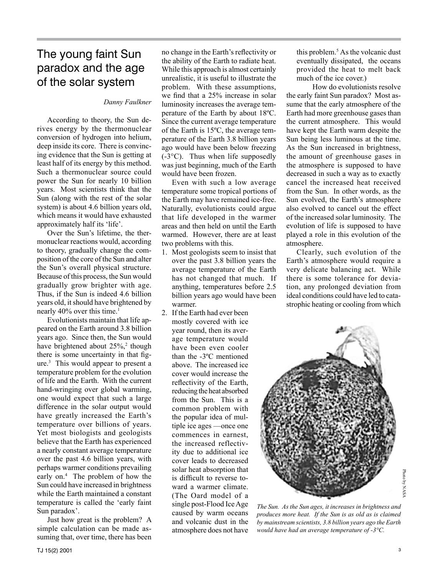## The young faint Sun paradox and the age of the solar system

### *Danny Faulkner*

According to theory, the Sun derives energy by the thermonuclear conversion of hydrogen into helium, deep inside its core. There is convincing evidence that the Sun is getting at least half of its energy by this method. Such a thermonuclear source could power the Sun for nearly 10 billion years. Most scientists think that the Sun (along with the rest of the solar system) is about 4.6 billion years old, which means it would have exhausted approximately half its 'life'.

Over the Sun's lifetime, the thermonuclear reactions would, according to theory, gradually change the composition of the core of the Sun and alter the Sun's overall physical structure. Because of this process, the Sun would gradually grow brighter with age. Thus, if the Sun is indeed 4.6 billion years old, it should have brightened by nearly 40% over this time.<sup>1</sup>

Evolutionists maintain that life appeared on the Earth around 3.8 billion years ago. Since then, the Sun would have brightened about 25%,<sup>2</sup> though there is some uncertainty in that figure.3 This would appear to present a temperature problem for the evolution of life and the Earth. With the current hand-wringing over global warming, one would expect that such a large difference in the solar output would have greatly increased the Earth's temperature over billions of years. Yet most biologists and geologists believe that the Earth has experienced a nearly constant average temperature over the past 4.6 billion years, with perhaps warmer conditions prevailing early on.<sup>4</sup> The problem of how the Sun could have increased in brightness while the Earth maintained a constant temperature is called the 'early faint Sun paradox'.

Just how great is the problem? A simple calculation can be made assuming that, over time, there has been no change in the Earth's reflectivity or the ability of the Earth to radiate heat. While this approach is almost certainly unrealistic, it is useful to illustrate the problem. With these assumptions, we find that a 25% increase in solar luminosity increases the average temperature of the Earth by about 18ºC. Since the current average temperature of the Earth is 15ºC, the average temperature of the Earth 3.8 billion years ago would have been below freezing (-3°C). Thus when life supposedly was just beginning, much of the Earth would have been frozen.

Even with such a low average temperature some tropical portions of the Earth may have remained ice-free. Naturally, evolutionists could argue that life developed in the warmer areas and then held on until the Earth warmed. However, there are at least two problems with this.

- 1. Most geologists seem to insist that over the past 3.8 billion years the average temperature of the Earth has not changed that much. If anything, temperatures before 2.5 billion years ago would have been warmer.
- 2. If the Earth had ever been mostly covered with ice year round, then its average temperature would have been even cooler than the -3ºC mentioned above. The increased ice cover would increase the reflectivity of the Earth, reducing the heat absorbed from the Sun. This is a common problem with the popular idea of multiple ice ages —once one commences in earnest, the increased reflectivity due to additional ice cover leads to decreased solar heat absorption that is difficult to reverse toward a warmer climate. (The Oard model of a single post-Flood Ice Age caused by warm oceans and volcanic dust in the atmosphere does not have

this problem.5 As the volcanic dust eventually dissipated, the oceans provided the heat to melt back much of the ice cover.)

How do evolutionists resolve the early faint Sun paradox? Most assume that the early atmosphere of the Earth had more greenhouse gases than the current atmosphere. This would have kept the Earth warm despite the Sun being less luminous at the time. As the Sun increased in brightness, the amount of greenhouse gases in the atmosphere is supposed to have decreased in such a way as to exactly cancel the increased heat received from the Sun. In other words, as the Sun evolved, the Earth's atmosphere also evolved to cancel out the effect of the increased solar luminosity. The evolution of life is supposed to have played a role in this evolution of the atmosphere.

Clearly, such evolution of the Earth's atmosphere would require a very delicate balancing act. While there is some tolerance for deviation, any prolonged deviation from ideal conditions could have led to catastrophic heating or cooling from which



*The Sun. As the Sun ages, it increases in brightness and produces more heat. If the Sun is as old as is claimed by mainstream scientists, 3.8 billion years ago the Earth would have had an average temperature of -3°C.*